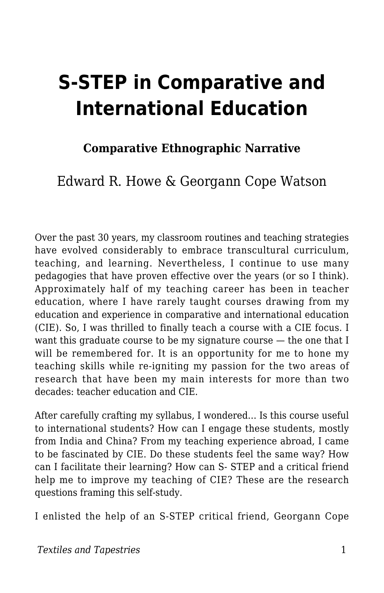# **S-STEP in Comparative and International Education**

### **Comparative Ethnographic Narrative**

Edward R. Howe & Georgann Cope Watson

Over the past 30 years, my classroom routines and teaching strategies have evolved considerably to embrace transcultural curriculum, teaching, and learning. Nevertheless, I continue to use many pedagogies that have proven effective over the years (or so I think). Approximately half of my teaching career has been in teacher education, where I have rarely taught courses drawing from my education and experience in comparative and international education (CIE). So, I was thrilled to finally teach a course with a CIE focus. I want this graduate course to be my signature course — the one that I will be remembered for. It is an opportunity for me to hone my teaching skills while re-igniting my passion for the two areas of research that have been my main interests for more than two decades: teacher education and CIE.

After carefully crafting my syllabus, I wondered… Is this course useful to international students? How can I engage these students, mostly from India and China? From my teaching experience abroad, I came to be fascinated by CIE. Do these students feel the same way? How can I facilitate their learning? How can S- STEP and a critical friend help me to improve my teaching of CIE? These are the research questions framing this self-study.

I enlisted the help of an S-STEP critical friend, Georgann Cope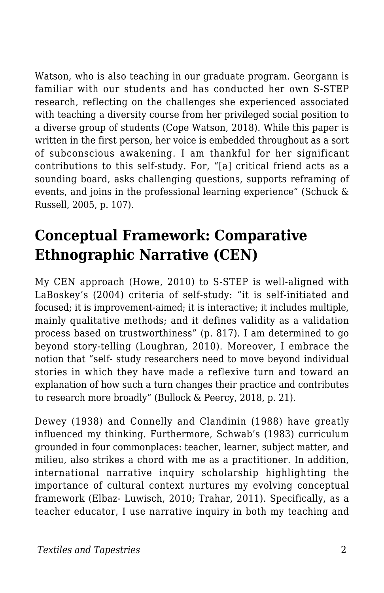Watson, who is also teaching in our graduate program. Georgann is familiar with our students and has conducted her own S-STEP research, reflecting on the challenges she experienced associated with teaching a diversity course from her privileged social position to a diverse group of students (Cope Watson, 2018). While this paper is written in the first person, her voice is embedded throughout as a sort of subconscious awakening. I am thankful for her significant contributions to this self-study. For, "[a] critical friend acts as a sounding board, asks challenging questions, supports reframing of events, and joins in the professional learning experience" (Schuck & Russell, 2005, p. 107).

### **Conceptual Framework: Comparative Ethnographic Narrative (CEN)**

My CEN approach (Howe, 2010) to S-STEP is well-aligned with LaBoskey's (2004) criteria of self-study: "it is self-initiated and focused; it is improvement-aimed; it is interactive; it includes multiple, mainly qualitative methods; and it defines validity as a validation process based on trustworthiness" (p. 817). I am determined to go beyond story-telling (Loughran, 2010). Moreover, I embrace the notion that "self- study researchers need to move beyond individual stories in which they have made a reflexive turn and toward an explanation of how such a turn changes their practice and contributes to research more broadly" (Bullock & Peercy, 2018, p. 21).

Dewey (1938) and Connelly and Clandinin (1988) have greatly influenced my thinking. Furthermore, Schwab's (1983) curriculum grounded in four commonplaces: teacher, learner, subject matter, and milieu, also strikes a chord with me as a practitioner. In addition, international narrative inquiry scholarship highlighting the importance of cultural context nurtures my evolving conceptual framework (Elbaz- Luwisch, 2010; Trahar, 2011). Specifically, as a teacher educator, I use narrative inquiry in both my teaching and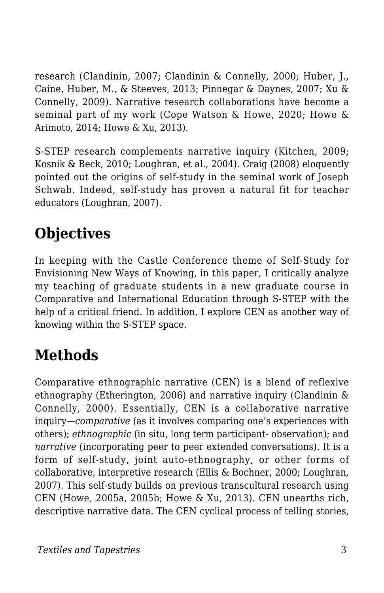research (Clandinin, 2007; Clandinin & Connelly, 2000; Huber, J., Caine, Huber, M., & Steeves, 2013; Pinnegar & Daynes, 2007; Xu & Connelly, 2009). Narrative research collaborations have become a seminal part of my work (Cope Watson & Howe, 2020; Howe & Arimoto, 2014; Howe & Xu, 2013).

S-STEP research complements narrative inquiry (Kitchen, 2009; Kosnik & Beck, 2010; Loughran, et al., 2004). Craig (2008) eloquently pointed out the origins of self-study in the seminal work of Joseph Schwab. Indeed, self-study has proven a natural fit for teacher educators (Loughran, 2007).

# **Objectives**

In keeping with the Castle Conference theme of Self-Study for Envisioning New Ways of Knowing, in this paper, I critically analyze my teaching of graduate students in a new graduate course in Comparative and International Education through S-STEP with the help of a critical friend. In addition, I explore CEN as another way of knowing within the S-STEP space.

## **Methods**

Comparative ethnographic narrative (CEN) is a blend of reflexive ethnography (Etherington, 2006) and narrative inquiry (Clandinin & Connelly, 2000). Essentially, CEN is a collaborative narrative inquiry—*comparative* (as it involves comparing one's experiences with others); *ethnographic* (in situ, long term participant- observation); and *narrative* (incorporating peer to peer extended conversations). It is a form of self-study, joint auto-ethnography, or other forms of collaborative, interpretive research (Ellis & Bochner, 2000; Loughran, 2007). This self-study builds on previous transcultural research using CEN (Howe, 2005a, 2005b; Howe & Xu, 2013). CEN unearths rich, descriptive narrative data. The CEN cyclical process of telling stories,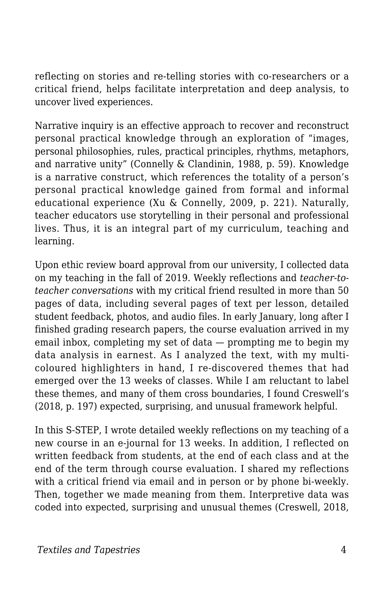reflecting on stories and re-telling stories with co-researchers or a critical friend, helps facilitate interpretation and deep analysis, to uncover lived experiences.

Narrative inquiry is an effective approach to recover and reconstruct personal practical knowledge through an exploration of "images, personal philosophies, rules, practical principles, rhythms, metaphors, and narrative unity" (Connelly & Clandinin, 1988, p. 59). Knowledge is a narrative construct, which references the totality of a person's personal practical knowledge gained from formal and informal educational experience (Xu & Connelly, 2009, p. 221). Naturally, teacher educators use storytelling in their personal and professional lives. Thus, it is an integral part of my curriculum, teaching and learning.

Upon ethic review board approval from our university, I collected data on my teaching in the fall of 2019. Weekly reflections and *teacher-toteacher conversations* with my critical friend resulted in more than 50 pages of data, including several pages of text per lesson, detailed student feedback, photos, and audio files. In early January, long after I finished grading research papers, the course evaluation arrived in my email inbox, completing my set of data — prompting me to begin my data analysis in earnest. As I analyzed the text, with my multicoloured highlighters in hand, I re-discovered themes that had emerged over the 13 weeks of classes. While I am reluctant to label these themes, and many of them cross boundaries, I found Creswell's (2018, p. 197) expected, surprising, and unusual framework helpful.

In this S-STEP, I wrote detailed weekly reflections on my teaching of a new course in an e-journal for 13 weeks. In addition, I reflected on written feedback from students, at the end of each class and at the end of the term through course evaluation. I shared my reflections with a critical friend via email and in person or by phone bi-weekly. Then, together we made meaning from them. Interpretive data was coded into expected, surprising and unusual themes (Creswell, 2018,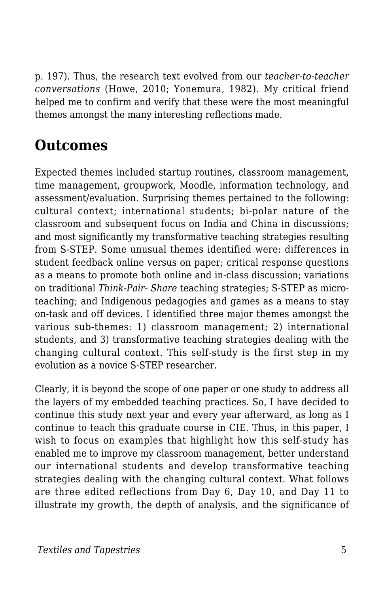p. 197). Thus, the research text evolved from our *teacher-to-teacher conversations* (Howe, 2010; Yonemura, 1982). My critical friend helped me to confirm and verify that these were the most meaningful themes amongst the many interesting reflections made.

### **Outcomes**

Expected themes included startup routines, classroom management, time management, groupwork, Moodle, information technology, and assessment/evaluation. Surprising themes pertained to the following: cultural context; international students; bi-polar nature of the classroom and subsequent focus on India and China in discussions; and most significantly my transformative teaching strategies resulting from S-STEP. Some unusual themes identified were: differences in student feedback online versus on paper; critical response questions as a means to promote both online and in-class discussion; variations on traditional *Think-Pair- Share* teaching strategies; S-STEP as microteaching; and Indigenous pedagogies and games as a means to stay on-task and off devices. I identified three major themes amongst the various sub-themes: 1) classroom management; 2) international students, and 3) transformative teaching strategies dealing with the changing cultural context. This self-study is the first step in my evolution as a novice S-STEP researcher.

Clearly, it is beyond the scope of one paper or one study to address all the layers of my embedded teaching practices. So, I have decided to continue this study next year and every year afterward, as long as I continue to teach this graduate course in CIE. Thus, in this paper, I wish to focus on examples that highlight how this self-study has enabled me to improve my classroom management, better understand our international students and develop transformative teaching strategies dealing with the changing cultural context. What follows are three edited reflections from Day 6, Day 10, and Day 11 to illustrate my growth, the depth of analysis, and the significance of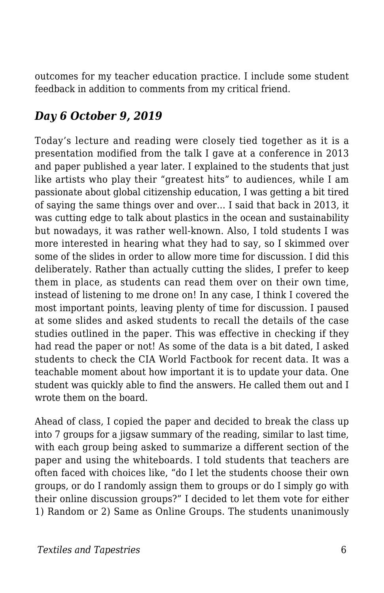outcomes for my teacher education practice. I include some student feedback in addition to comments from my critical friend.

### *Day 6 October 9, 2019*

Today's lecture and reading were closely tied together as it is a presentation modified from the talk I gave at a conference in 2013 and paper published a year later. I explained to the students that just like artists who play their "greatest hits" to audiences, while I am passionate about global citizenship education, I was getting a bit tired of saying the same things over and over… I said that back in 2013, it was cutting edge to talk about plastics in the ocean and sustainability but nowadays, it was rather well-known. Also, I told students I was more interested in hearing what they had to say, so I skimmed over some of the slides in order to allow more time for discussion. I did this deliberately. Rather than actually cutting the slides, I prefer to keep them in place, as students can read them over on their own time, instead of listening to me drone on! In any case, I think I covered the most important points, leaving plenty of time for discussion. I paused at some slides and asked students to recall the details of the case studies outlined in the paper. This was effective in checking if they had read the paper or not! As some of the data is a bit dated, I asked students to check the CIA World Factbook for recent data. It was a teachable moment about how important it is to update your data. One student was quickly able to find the answers. He called them out and I wrote them on the board.

Ahead of class, I copied the paper and decided to break the class up into 7 groups for a jigsaw summary of the reading, similar to last time, with each group being asked to summarize a different section of the paper and using the whiteboards. I told students that teachers are often faced with choices like, "do I let the students choose their own groups, or do I randomly assign them to groups or do I simply go with their online discussion groups?" I decided to let them vote for either 1) Random or 2) Same as Online Groups. The students unanimously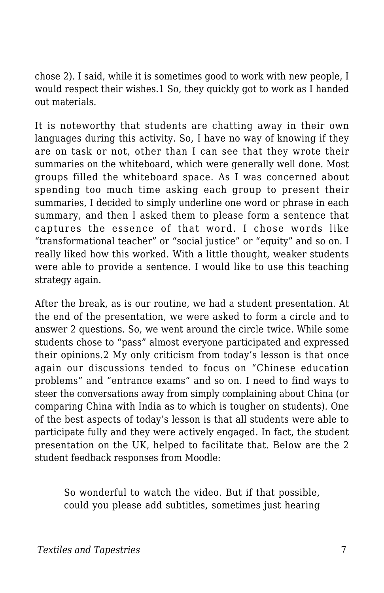chose 2). I said, while it is sometimes good to work with new people, I would respect their wishes.1 So, they quickly got to work as I handed out materials.

It is noteworthy that students are chatting away in their own languages during this activity. So, I have no way of knowing if they are on task or not, other than I can see that they wrote their summaries on the whiteboard, which were generally well done. Most groups filled the whiteboard space. As I was concerned about spending too much time asking each group to present their summaries, I decided to simply underline one word or phrase in each summary, and then I asked them to please form a sentence that captures the essence of that word. I chose words like "transformational teacher" or "social justice" or "equity" and so on. I really liked how this worked. With a little thought, weaker students were able to provide a sentence. I would like to use this teaching strategy again.

After the break, as is our routine, we had a student presentation. At the end of the presentation, we were asked to form a circle and to answer 2 questions. So, we went around the circle twice. While some students chose to "pass" almost everyone participated and expressed their opinions.2 My only criticism from today's lesson is that once again our discussions tended to focus on "Chinese education problems" and "entrance exams" and so on. I need to find ways to steer the conversations away from simply complaining about China (or comparing China with India as to which is tougher on students). One of the best aspects of today's lesson is that all students were able to participate fully and they were actively engaged. In fact, the student presentation on the UK, helped to facilitate that. Below are the 2 student feedback responses from Moodle:

So wonderful to watch the video. But if that possible, could you please add subtitles, sometimes just hearing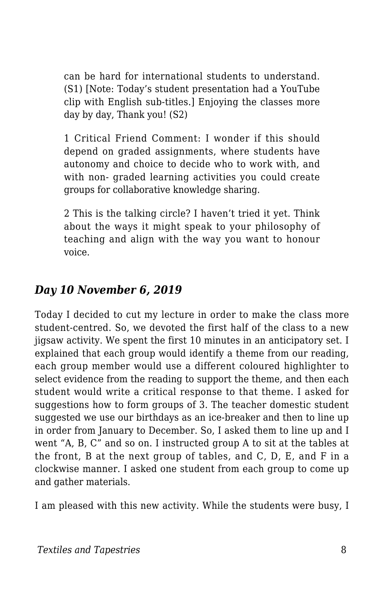can be hard for international students to understand. (S1) [Note: Today's student presentation had a YouTube clip with English sub-titles.] Enjoying the classes more day by day, Thank you! (S2)

1 Critical Friend Comment: I wonder if this should depend on graded assignments, where students have autonomy and choice to decide who to work with, and with non- graded learning activities you could create groups for collaborative knowledge sharing.

2 This is the talking circle? I haven't tried it yet. Think about the ways it might speak to your philosophy of teaching and align with the way you want to honour voice.

#### *Day 10 November 6, 2019*

Today I decided to cut my lecture in order to make the class more student-centred. So, we devoted the first half of the class to a new jigsaw activity. We spent the first 10 minutes in an anticipatory set. I explained that each group would identify a theme from our reading, each group member would use a different coloured highlighter to select evidence from the reading to support the theme, and then each student would write a critical response to that theme. I asked for suggestions how to form groups of 3. The teacher domestic student suggested we use our birthdays as an ice-breaker and then to line up in order from January to December. So, I asked them to line up and I went "A, B, C" and so on. I instructed group A to sit at the tables at the front, B at the next group of tables, and C, D, E, and F in a clockwise manner. I asked one student from each group to come up and gather materials.

I am pleased with this new activity. While the students were busy, I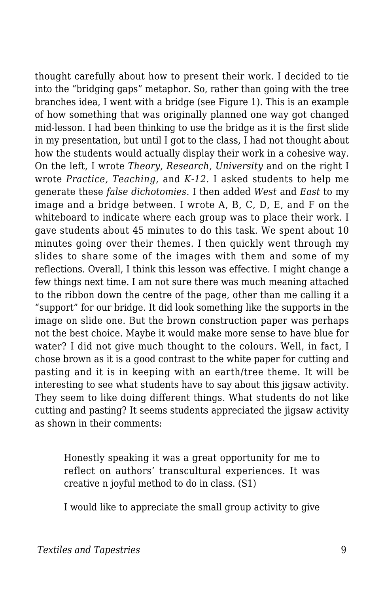thought carefully about how to present their work. I decided to tie into the "bridging gaps" metaphor. So, rather than going with the tree branches idea, I went with a bridge (see Figure 1). This is an example of how something that was originally planned one way got changed mid-lesson. I had been thinking to use the bridge as it is the first slide in my presentation, but until I got to the class, I had not thought about how the students would actually display their work in a cohesive way. On the left, I wrote *Theory, Research, University* and on the right I wrote *Practice, Teaching,* and *K-12*. I asked students to help me generate these *false dichotomies*. I then added *West* and *East* to my image and a bridge between. I wrote A, B, C, D, E, and F on the whiteboard to indicate where each group was to place their work. I gave students about 45 minutes to do this task. We spent about 10 minutes going over their themes. I then quickly went through my slides to share some of the images with them and some of my reflections. Overall, I think this lesson was effective. I might change a few things next time. I am not sure there was much meaning attached to the ribbon down the centre of the page, other than me calling it a "support" for our bridge. It did look something like the supports in the image on slide one. But the brown construction paper was perhaps not the best choice. Maybe it would make more sense to have blue for water? I did not give much thought to the colours. Well, in fact, I chose brown as it is a good contrast to the white paper for cutting and pasting and it is in keeping with an earth/tree theme. It will be interesting to see what students have to say about this jigsaw activity. They seem to like doing different things. What students do not like cutting and pasting? It seems students appreciated the jigsaw activity as shown in their comments:

Honestly speaking it was a great opportunity for me to reflect on authors' transcultural experiences. It was creative n joyful method to do in class. (S1)

I would like to appreciate the small group activity to give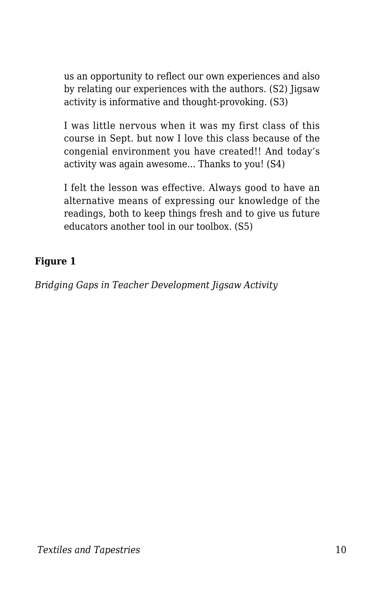us an opportunity to reflect our own experiences and also by relating our experiences with the authors. (S2) Jigsaw activity is informative and thought-provoking. (S3)

I was little nervous when it was my first class of this course in Sept. but now I love this class because of the congenial environment you have created!! And today's activity was again awesome... Thanks to you! (S4)

I felt the lesson was effective. Always good to have an alternative means of expressing our knowledge of the readings, both to keep things fresh and to give us future educators another tool in our toolbox. (S5)

#### **Figure 1**

*Bridging Gaps in Teacher Development Jigsaw Activity*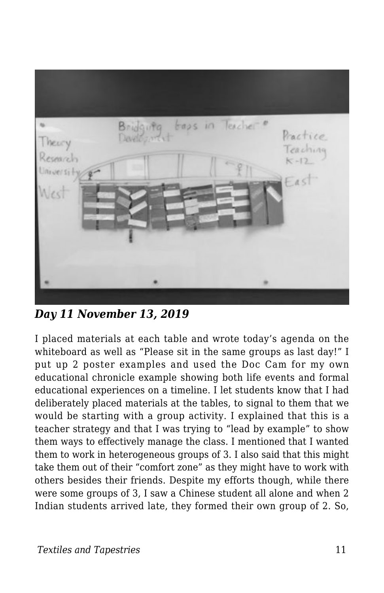

*Day 11 November 13, 2019*

I placed materials at each table and wrote today's agenda on the whiteboard as well as "Please sit in the same groups as last day!" I put up 2 poster examples and used the Doc Cam for my own educational chronicle example showing both life events and formal educational experiences on a timeline. I let students know that I had deliberately placed materials at the tables, to signal to them that we would be starting with a group activity. I explained that this is a teacher strategy and that I was trying to "lead by example" to show them ways to effectively manage the class. I mentioned that I wanted them to work in heterogeneous groups of 3. I also said that this might take them out of their "comfort zone" as they might have to work with others besides their friends. Despite my efforts though, while there were some groups of 3, I saw a Chinese student all alone and when 2 Indian students arrived late, they formed their own group of 2. So,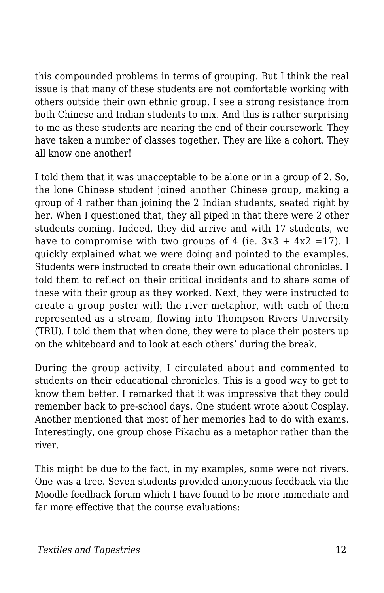this compounded problems in terms of grouping. But I think the real issue is that many of these students are not comfortable working with others outside their own ethnic group. I see a strong resistance from both Chinese and Indian students to mix. And this is rather surprising to me as these students are nearing the end of their coursework. They have taken a number of classes together. They are like a cohort. They all know one another!

I told them that it was unacceptable to be alone or in a group of 2. So, the lone Chinese student joined another Chinese group, making a group of 4 rather than joining the 2 Indian students, seated right by her. When I questioned that, they all piped in that there were 2 other students coming. Indeed, they did arrive and with 17 students, we have to compromise with two groups of 4 (ie.  $3x3 + 4x2 = 17$ ). I quickly explained what we were doing and pointed to the examples. Students were instructed to create their own educational chronicles. I told them to reflect on their critical incidents and to share some of these with their group as they worked. Next, they were instructed to create a group poster with the river metaphor, with each of them represented as a stream, flowing into Thompson Rivers University (TRU). I told them that when done, they were to place their posters up on the whiteboard and to look at each others' during the break.

During the group activity, I circulated about and commented to students on their educational chronicles. This is a good way to get to know them better. I remarked that it was impressive that they could remember back to pre-school days. One student wrote about Cosplay. Another mentioned that most of her memories had to do with exams. Interestingly, one group chose Pikachu as a metaphor rather than the river.

This might be due to the fact, in my examples, some were not rivers. One was a tree. Seven students provided anonymous feedback via the Moodle feedback forum which I have found to be more immediate and far more effective that the course evaluations: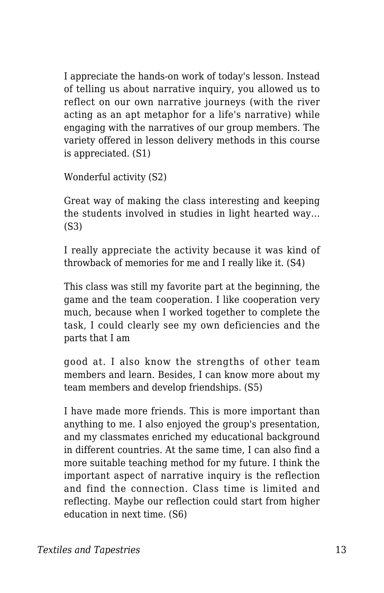I appreciate the hands-on work of today's lesson. Instead of telling us about narrative inquiry, you allowed us to reflect on our own narrative journeys (with the river acting as an apt metaphor for a life's narrative) while engaging with the narratives of our group members. The variety offered in lesson delivery methods in this course is appreciated. (S1)

Wonderful activity (S2)

Great way of making the class interesting and keeping the students involved in studies in light hearted way... (S3)

I really appreciate the activity because it was kind of throwback of memories for me and I really like it. (S4)

This class was still my favorite part at the beginning, the game and the team cooperation. I like cooperation very much, because when I worked together to complete the task, I could clearly see my own deficiencies and the parts that I am

good at. I also know the strengths of other team members and learn. Besides, I can know more about my team members and develop friendships. (S5)

I have made more friends. This is more important than anything to me. I also enjoyed the group's presentation, and my classmates enriched my educational background in different countries. At the same time, I can also find a more suitable teaching method for my future. I think the important aspect of narrative inquiry is the reflection and find the connection. Class time is limited and reflecting. Maybe our reflection could start from higher education in next time. (S6)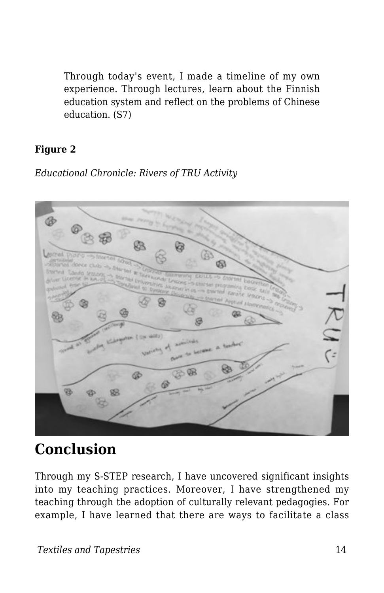Through today's event, I made a timeline of my own experience. Through lectures, learn about the Finnish education system and reflect on the problems of Chinese education. (S7)

#### **Figure 2**

*Educational Chronicle: Rivers of TRU Activity*



### **Conclusion**

Through my S-STEP research, I have uncovered significant insights into my teaching practices. Moreover, I have strengthened my teaching through the adoption of culturally relevant pedagogies. For example, I have learned that there are ways to facilitate a class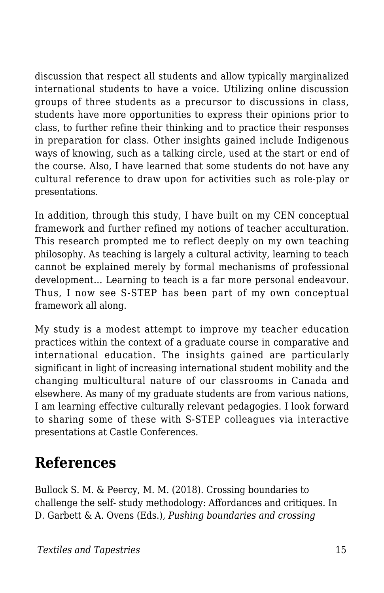discussion that respect all students and allow typically marginalized international students to have a voice. Utilizing online discussion groups of three students as a precursor to discussions in class, students have more opportunities to express their opinions prior to class, to further refine their thinking and to practice their responses in preparation for class. Other insights gained include Indigenous ways of knowing, such as a talking circle, used at the start or end of the course. Also, I have learned that some students do not have any cultural reference to draw upon for activities such as role-play or presentations.

In addition, through this study, I have built on my CEN conceptual framework and further refined my notions of teacher acculturation. This research prompted me to reflect deeply on my own teaching philosophy. As teaching is largely a cultural activity, learning to teach cannot be explained merely by formal mechanisms of professional development… Learning to teach is a far more personal endeavour. Thus, I now see S-STEP has been part of my own conceptual framework all along.

My study is a modest attempt to improve my teacher education practices within the context of a graduate course in comparative and international education. The insights gained are particularly significant in light of increasing international student mobility and the changing multicultural nature of our classrooms in Canada and elsewhere. As many of my graduate students are from various nations, I am learning effective culturally relevant pedagogies. I look forward to sharing some of these with S-STEP colleagues via interactive presentations at Castle Conferences.

### **References**

Bullock S. M. & Peercy, M. M. (2018). Crossing boundaries to challenge the self- study methodology: Affordances and critiques. In D. Garbett & A. Ovens (Eds.), *Pushing boundaries and crossing*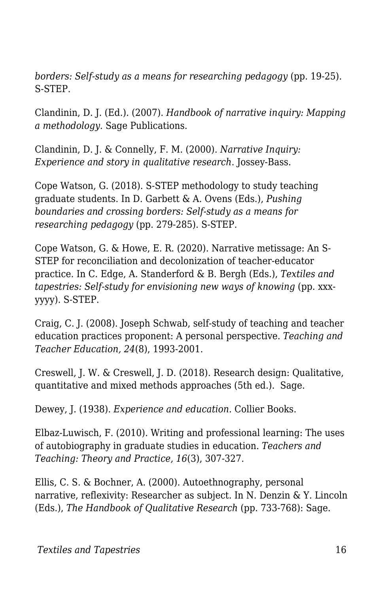*borders: Self-study as a means for researching pedagogy* (pp. 19-25). S-STEP.

Clandinin, D. J. (Ed.). (2007). *Handbook of narrative inquiry: Mapping a methodology*. Sage Publications.

Clandinin, D. J. & Connelly, F. M. (2000). *Narrative Inquiry: Experience and story in qualitative research*. Jossey-Bass.

Cope Watson, G. (2018). S-STEP methodology to study teaching graduate students. In D. Garbett & A. Ovens (Eds.), *Pushing boundaries and crossing borders: Self-study as a means for researching pedagogy* (pp. 279-285). S-STEP.

Cope Watson, G. & Howe, E. R. (2020). Narrative metissage: An S-STEP for reconciliation and decolonization of teacher-educator practice. In C. Edge, A. Standerford & B. Bergh (Eds.), *Textiles and tapestries: Self-study for envisioning new ways of knowing (pp. xxx*yyyy). S-STEP.

Craig, C. J. (2008). Joseph Schwab, self-study of teaching and teacher education practices proponent: A personal perspective. *Teaching and Teacher Education, 24*(8), 1993-2001.

Creswell, J. W. & Creswell, J. D. (2018). Research design: Qualitative, quantitative and mixed methods approaches (5th ed.). Sage.

Dewey, J. (1938). *Experience and education*. Collier Books.

Elbaz-Luwisch, F. (2010). Writing and professional learning: The uses of autobiography in graduate studies in education. *Teachers and Teaching: Theory and Practice, 16*(3), 307-327.

Ellis, C. S. & Bochner, A. (2000). Autoethnography, personal narrative, reflexivity: Researcher as subject. In N. Denzin & Y. Lincoln (Eds.), *The Handbook of Qualitative Research* (pp. 733-768): Sage.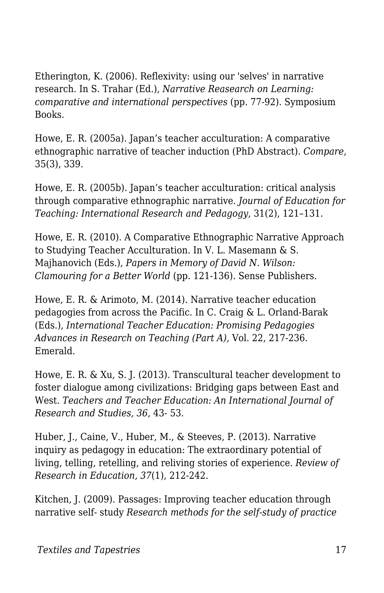Etherington, K. (2006). Reflexivity: using our 'selves' in narrative research. In S. Trahar (Ed.), *Narrative Reasearch on Learning: comparative and international perspectives* (pp. 77-92). Symposium Books.

Howe, E. R. (2005a). Japan's teacher acculturation: A comparative ethnographic narrative of teacher induction (PhD Abstract). *Compare*, 35(3), 339.

Howe, E. R. (2005b). Japan's teacher acculturation: critical analysis through comparative ethnographic narrative. *Journal of Education for Teaching: International Research and Pedagogy*, 31(2), 121–131.

Howe, E. R. (2010). A Comparative Ethnographic Narrative Approach to Studying Teacher Acculturation. In V. L. Masemann & S. Majhanovich (Eds.), *Papers in Memory of David N. Wilson: Clamouring for a Better World* (pp. 121-136)*.* Sense Publishers.

Howe, E. R. & Arimoto, M. (2014). Narrative teacher education pedagogies from across the Pacific. In C. Craig & L. Orland-Barak (Eds.), *International Teacher Education: Promising Pedagogies Advances in Research on Teaching (Part A),* Vol. 22, 217-236. Emerald.

Howe, E. R. & Xu, S. J. (2013). Transcultural teacher development to foster dialogue among civilizations: Bridging gaps between East and West. *Teachers and Teacher Education: An International Journal of Research and Studies, 36*, 43- 53.

Huber, J., Caine, V., Huber, M., & Steeves, P. (2013). Narrative inquiry as pedagogy in education: The extraordinary potential of living, telling, retelling, and reliving stories of experience. *Review of Research in Education, 37*(1), 212-242.

Kitchen, J. (2009). Passages: Improving teacher education through narrative self- study *Research methods for the self-study of practice*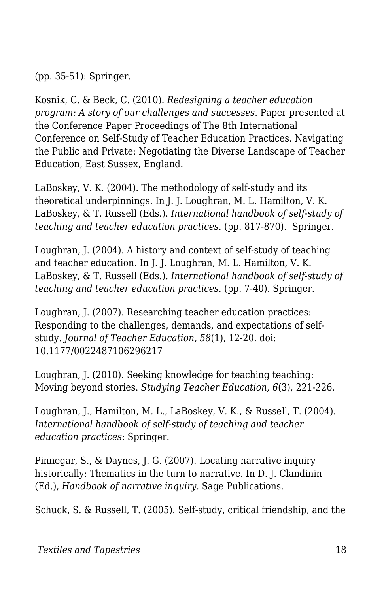(pp. 35-51): Springer.

Kosnik, C. & Beck, C. (2010). *Redesigning a teacher education program: A story of our challenges and successes.* Paper presented at the Conference Paper Proceedings of The 8th International Conference on Self-Study of Teacher Education Practices. Navigating the Public and Private: Negotiating the Diverse Landscape of Teacher Education, East Sussex, England.

LaBoskey, V. K. (2004). The methodology of self-study and its theoretical underpinnings. In J. J. Loughran, M. L. Hamilton, V. K. LaBoskey, & T. Russell (Eds.). *International handbook of self-study of teaching and teacher education practices.* (pp. 817-870). Springer.

Loughran, J. (2004). A history and context of self-study of teaching and teacher education. In J. J. Loughran, M. L. Hamilton, V. K. LaBoskey, & T. Russell (Eds.). *International handbook of self-study of teaching and teacher education practices.* (pp. 7-40). Springer.

Loughran, J. (2007). Researching teacher education practices: Responding to the challenges, demands, and expectations of selfstudy. *Journal of Teacher Education, 58*(1), 12-20. doi: 10.1177/0022487106296217

Loughran, J. (2010). Seeking knowledge for teaching teaching: Moving beyond stories. *Studying Teacher Education, 6*(3), 221-226.

Loughran, J., Hamilton, M. L., LaBoskey, V. K., & Russell, T. (2004). *International handbook of self-study of teaching and teacher education practices*: Springer.

Pinnegar, S., & Daynes, J. G. (2007). Locating narrative inquiry historically: Thematics in the turn to narrative. In D. J. Clandinin (Ed.), *Handbook of narrative inquiry*. Sage Publications.

Schuck, S. & Russell, T. (2005). Self-study, critical friendship, and the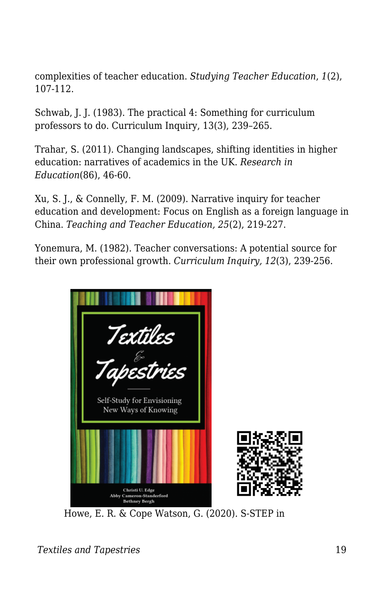complexities of teacher education. *Studying Teacher Education*, *1*(2), 107-112.

Schwab, J. J. (1983). The practical 4: Something for curriculum professors to do. Curriculum Inquiry, 13(3), 239–265.

Trahar, S. (2011). Changing landscapes, shifting identities in higher education: narratives of academics in the UK. *Research in Education*(86), 46-60.

Xu, S. J., & Connelly, F. M. (2009). Narrative inquiry for teacher education and development: Focus on English as a foreign language in China. *Teaching and Teacher Education, 25*(2), 219-227.

Yonemura, M. (1982). Teacher conversations: A potential source for their own professional growth. *Curriculum Inquiry, 12*(3), 239-256.



Howe, E. R. & Cope Watson, G. (2020). S-STEP in